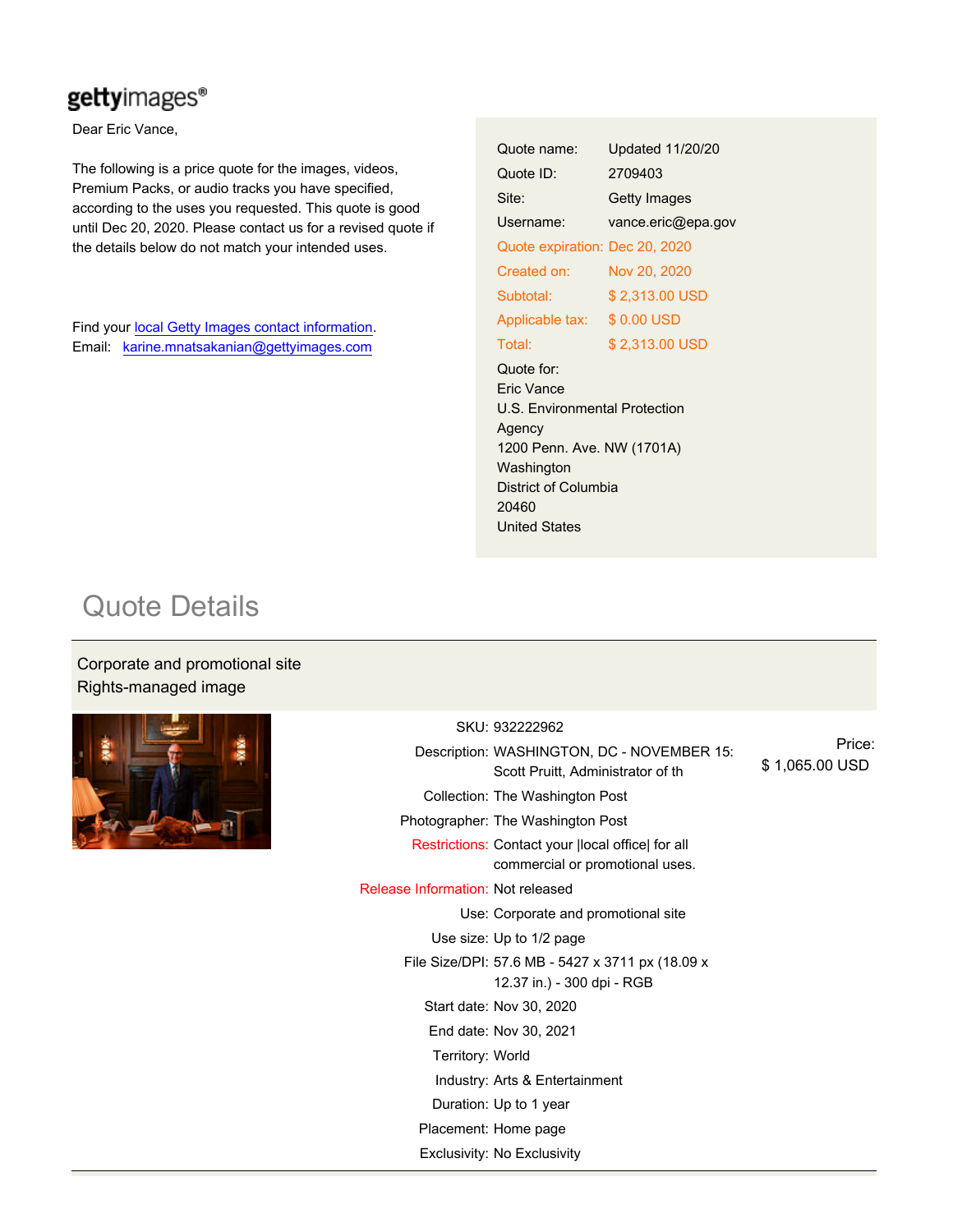## gettyimages®

Dear Eric Vance,

The following is a price quote for the images, videos, Premium Packs, or audio tracks you have specified, according to the uses you requested. This quote is good until Dec 20, 2020. Please contact us for a revised quote if the details below do not match your intended uses.

Find your [local Getty Images contact information.](http://www.gettyimages.com/Corporate/ContactUs.aspx) Email: karine.mnatsakanian@gettyimages.com

|                                      | Quote name:                                        | Updated 11/20/20   |  |
|--------------------------------------|----------------------------------------------------|--------------------|--|
|                                      | Quote ID:                                          | 2709403            |  |
|                                      | Site:                                              | Getty Images       |  |
|                                      | Username:                                          | vance.eric@epa.gov |  |
|                                      | Quote expiration: Dec 20, 2020                     |                    |  |
|                                      | Created on:                                        | Nov 20, 2020       |  |
|                                      | Subtotal:                                          | \$2,313.00 USD     |  |
|                                      | Applicable tax:                                    | \$0.00 USD         |  |
|                                      | Total:                                             | \$2.313.00 USD     |  |
|                                      | Quote for:                                         |                    |  |
|                                      | Fric Vance                                         |                    |  |
| <b>U.S. Environmental Protection</b> |                                                    |                    |  |
|                                      | Agency<br>1200 Penn. Ave. NW (1701A)<br>Washington |                    |  |
|                                      |                                                    |                    |  |
|                                      |                                                    |                    |  |
| District of Columbia                 |                                                    |                    |  |
|                                      | 20460                                              |                    |  |
|                                      | <b>United States</b>                               |                    |  |

# Quote Details

### Corporate and promotional site Rights-managed image



|                                   | SKU: 932222962                                                                       |                          |
|-----------------------------------|--------------------------------------------------------------------------------------|--------------------------|
|                                   | Description: WASHINGTON, DC - NOVEMBER 15:<br>Scott Pruitt. Administrator of th      | Price:<br>\$1,065.00 USD |
|                                   | Collection: The Washington Post                                                      |                          |
|                                   | Photographer: The Washington Post                                                    |                          |
|                                   | Restrictions: Contact your  local office  for all<br>commercial or promotional uses. |                          |
| Release Information: Not released |                                                                                      |                          |
|                                   | Use: Corporate and promotional site                                                  |                          |
|                                   | Use size: Up to 1/2 page                                                             |                          |
|                                   | File Size/DPI: 57.6 MB - 5427 x 3711 px (18.09 x<br>12.37 in.) - 300 dpi - RGB       |                          |
|                                   | Start date: Nov 30, 2020                                                             |                          |
|                                   | End date: Nov 30, 2021                                                               |                          |
| Territory: World                  |                                                                                      |                          |
|                                   | Industry: Arts & Entertainment                                                       |                          |
|                                   | Duration: Up to 1 year                                                               |                          |
|                                   | Placement: Home page                                                                 |                          |
|                                   | Exclusivity: No Exclusivity                                                          |                          |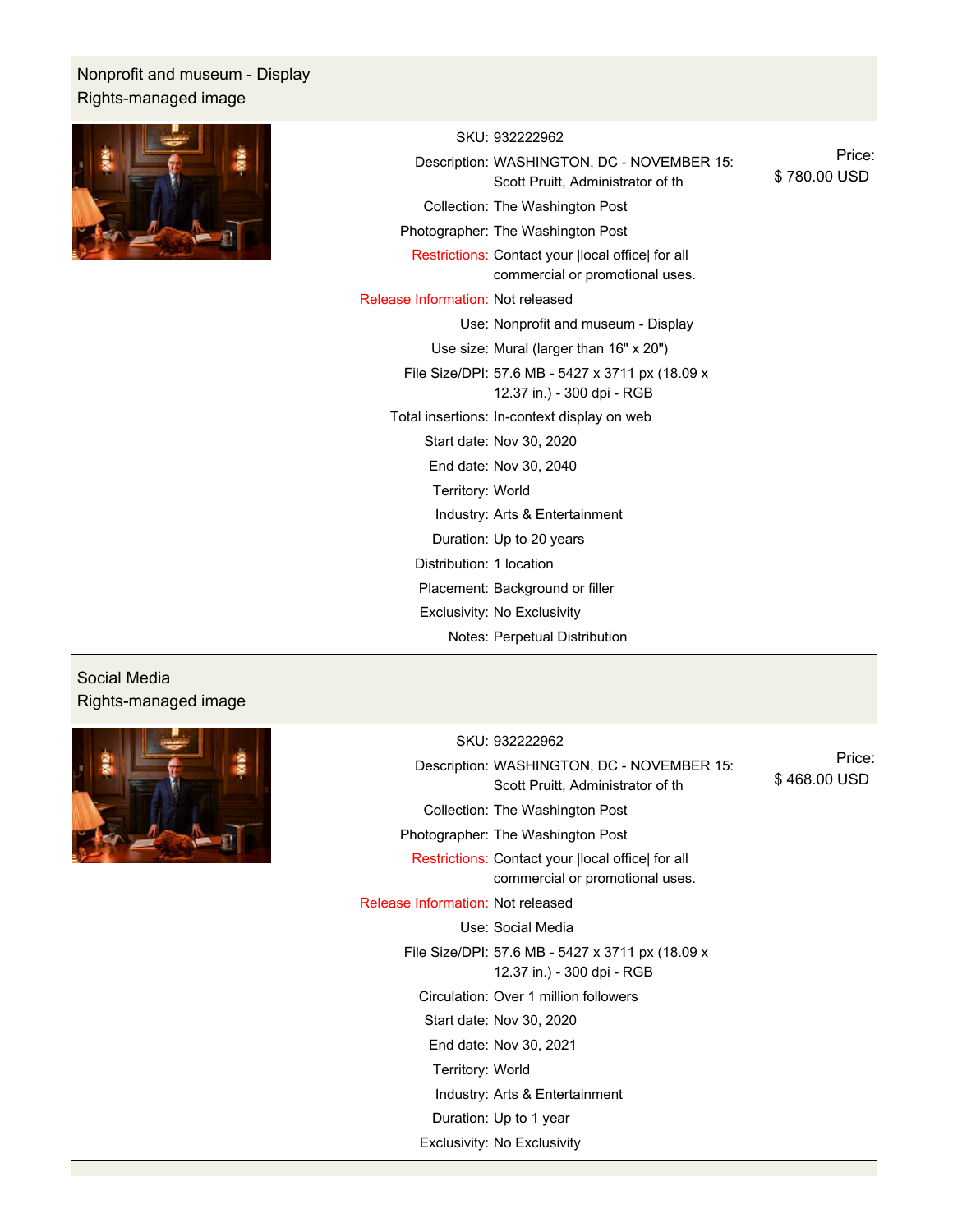### Nonprofit and museum - Display Rights-managed image



SKU: 932222962

Description: WASHINGTON, DC - NOVEMBER 15: Scott Pruitt, Administrator of th Collection: The Washington Post Photographer: The Washington Post Restrictions: Contact your |local office| for all commercial or promotional uses. Release Information: Not released Use: Nonprofit and museum - Display Use size: Mural (larger than 16" x 20") File Size/DPI: 57.6 MB - 5427 x 3711 px (18.09 x 12.37 in.) - 300 dpi - RGB Total insertions: In-context display on web Start date: Nov 30, 2020 End date: Nov 30, 2040 Territory: World Industry: Arts & Entertainment Duration: Up to 20 years Distribution: 1 location Placement: Background or filler Exclusivity: No Exclusivity Notes: Perpetual Distribution Price: \$ 780.00 USD

#### Social Media Rights-managed image



#### SKU: 932222962

|                                   | Description: WASHINGTON, DC - NOVEMBER 15:<br>Scott Pruitt, Administrator of th      | Price:<br>\$468.00 USD |
|-----------------------------------|--------------------------------------------------------------------------------------|------------------------|
|                                   | Collection: The Washington Post                                                      |                        |
|                                   | Photographer: The Washington Post                                                    |                        |
|                                   | Restrictions: Contact your  local office  for all<br>commercial or promotional uses. |                        |
| Release Information: Not released |                                                                                      |                        |
|                                   | Use: Social Media                                                                    |                        |
|                                   | File Size/DPI: 57.6 MB - 5427 x 3711 px (18.09 x<br>12.37 in.) - 300 dpi - RGB       |                        |
|                                   | Circulation: Over 1 million followers                                                |                        |
|                                   | Start date: Nov 30, 2020                                                             |                        |
|                                   | End date: Nov 30, 2021                                                               |                        |
| Territory: World                  |                                                                                      |                        |
|                                   | Industry: Arts & Entertainment                                                       |                        |
|                                   | Duration: Up to 1 year                                                               |                        |
|                                   | Exclusivity: No Exclusivity                                                          |                        |
|                                   |                                                                                      |                        |